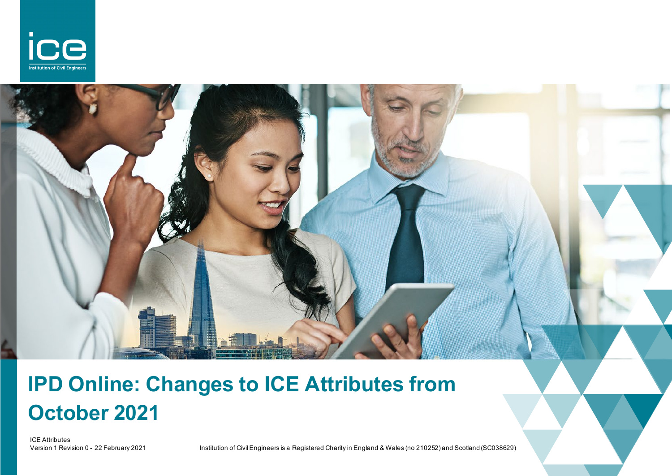

# **IPD Online: Changes to ICE Attributes from October 2021**

ICE Attributes<br>Version 1 Revision 0 - 22 February 2021

1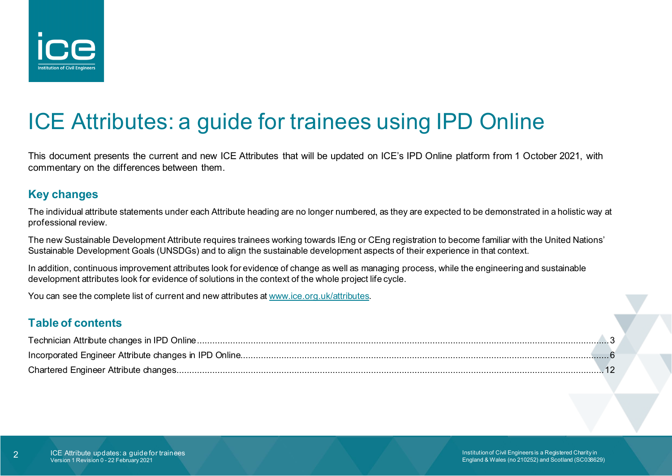

## ICE Attributes: a guide for trainees using IPD Online

This document presents the current and new ICE Attributes that will be updated on ICE's IPD Online platform from 1 October 2021, with commentary on the differences between them.

#### **Key changes**

The individual attribute statements under each Attribute heading are no longer numbered, as they are expected to be demonstrated in a holistic way at professional review.

The new Sustainable Development Attribute requires trainees working towards IEng or CEng registration to become familiar with the United Nations' Sustainable Development Goals (UNSDGs) and to align the sustainable development aspects of their experience in that context.

In addition, continuous improvement attributes look for evidence of change as well as managing process, while the engineering and sustainable development attributes look for evidence of solutions in the context of the whole project life cycle.

You can see the complete list of current and new attributes at [www.ice.org.uk/attributes.](http://www.ice.org.uk/attributes)

#### **Table of contents**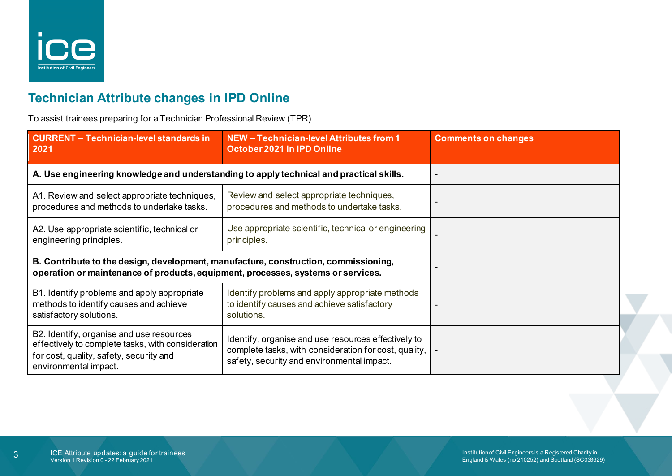

## <span id="page-2-0"></span>**Technician Attribute changes in IPD Online**

To assist trainees preparing for a Technician Professional Review (TPR).

| <b>CURRENT - Technician-level standards in</b><br>2021                                                                                                                  | NEW - Technician-level Attributes from 1<br><b>October 2021 in IPD Online</b>                                                                              | <b>Comments on changes</b> |
|-------------------------------------------------------------------------------------------------------------------------------------------------------------------------|------------------------------------------------------------------------------------------------------------------------------------------------------------|----------------------------|
| A. Use engineering knowledge and understanding to apply technical and practical skills.                                                                                 |                                                                                                                                                            |                            |
| A1. Review and select appropriate techniques,<br>procedures and methods to undertake tasks.                                                                             | Review and select appropriate techniques,<br>procedures and methods to undertake tasks.                                                                    |                            |
| A2. Use appropriate scientific, technical or<br>engineering principles.                                                                                                 | Use appropriate scientific, technical or engineering<br>principles.                                                                                        |                            |
| B. Contribute to the design, development, manufacture, construction, commissioning,<br>operation or maintenance of products, equipment, processes, systems or services. |                                                                                                                                                            |                            |
| B1. Identify problems and apply appropriate<br>methods to identify causes and achieve<br>satisfactory solutions.                                                        | Identify problems and apply appropriate methods<br>to identify causes and achieve satisfactory<br>solutions.                                               |                            |
| B2. Identify, organise and use resources<br>effectively to complete tasks, with consideration<br>for cost, quality, safety, security and<br>environmental impact.       | Identify, organise and use resources effectively to<br>complete tasks, with consideration for cost, quality,<br>safety, security and environmental impact. |                            |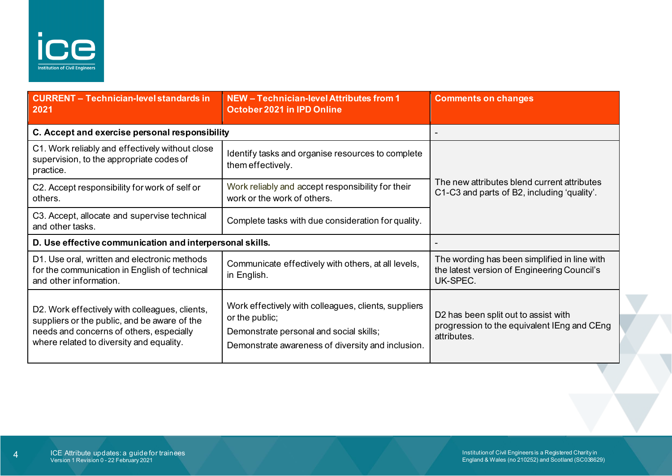

| <b>CURRENT - Technician-level standards in</b><br>2021                                                                                                                                 | NEW - Technician-level Attributes from 1<br><b>October 2021 in IPD Online</b>                                                                                          | <b>Comments on changes</b>                                                                              |
|----------------------------------------------------------------------------------------------------------------------------------------------------------------------------------------|------------------------------------------------------------------------------------------------------------------------------------------------------------------------|---------------------------------------------------------------------------------------------------------|
| C. Accept and exercise personal responsibility                                                                                                                                         |                                                                                                                                                                        |                                                                                                         |
| C1. Work reliably and effectively without close<br>supervision, to the appropriate codes of<br>practice.                                                                               | Identify tasks and organise resources to complete<br>them effectively.                                                                                                 | The new attributes blend current attributes<br>C1-C3 and parts of B2, including 'quality'.              |
| C2. Accept responsibility for work of self or<br>others.                                                                                                                               | Work reliably and accept responsibility for their<br>work or the work of others.                                                                                       |                                                                                                         |
| C3. Accept, allocate and supervise technical<br>and other tasks.                                                                                                                       | Complete tasks with due consideration for quality.                                                                                                                     |                                                                                                         |
| D. Use effective communication and interpersonal skills.                                                                                                                               |                                                                                                                                                                        |                                                                                                         |
| D1. Use oral, written and electronic methods<br>for the communication in English of technical<br>and other information.                                                                | Communicate effectively with others, at all levels,<br>in English.                                                                                                     | The wording has been simplified in line with<br>the latest version of Engineering Council's<br>UK-SPEC. |
| D2. Work effectively with colleagues, clients,<br>suppliers or the public, and be aware of the<br>needs and concerns of others, especially<br>where related to diversity and equality. | Work effectively with colleagues, clients, suppliers<br>or the public;<br>Demonstrate personal and social skills;<br>Demonstrate awareness of diversity and inclusion. | D2 has been split out to assist with<br>progression to the equivalent IEng and CEng<br>attributes.      |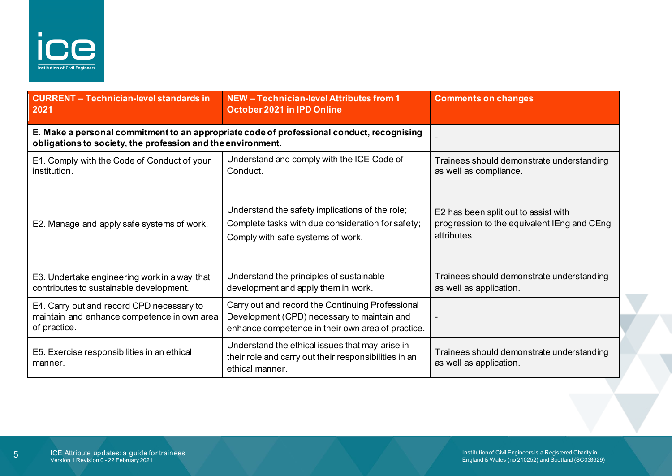

| <b>CURRENT - Technician-level standards in</b><br>2021                                                   | NEW - Technician-level Attributes from 1<br><b>October 2021 in IPD Online</b>                                                                        | <b>Comments on changes</b>                                                                         |
|----------------------------------------------------------------------------------------------------------|------------------------------------------------------------------------------------------------------------------------------------------------------|----------------------------------------------------------------------------------------------------|
| obligations to society, the profession and the environment.                                              | E. Make a personal commitment to an appropriate code of professional conduct, recognising                                                            |                                                                                                    |
| E1. Comply with the Code of Conduct of your<br>institution.                                              | Understand and comply with the ICE Code of<br>Conduct.                                                                                               | Trainees should demonstrate understanding<br>as well as compliance.                                |
| E2. Manage and apply safe systems of work.                                                               | Understand the safety implications of the role;<br>Complete tasks with due consideration for safety;<br>Comply with safe systems of work.            | E2 has been split out to assist with<br>progression to the equivalent IEng and CEng<br>attributes. |
| E3. Undertake engineering work in a way that<br>contributes to sustainable development.                  | Understand the principles of sustainable<br>development and apply them in work.                                                                      | Trainees should demonstrate understanding<br>as well as application.                               |
| E4. Carry out and record CPD necessary to<br>maintain and enhance competence in own area<br>of practice. | Carry out and record the Continuing Professional<br>Development (CPD) necessary to maintain and<br>enhance competence in their own area of practice. |                                                                                                    |
| E5. Exercise responsibilities in an ethical<br>manner.                                                   | Understand the ethical issues that may arise in<br>their role and carry out their responsibilities in an<br>ethical manner.                          | Trainees should demonstrate understanding<br>as well as application.                               |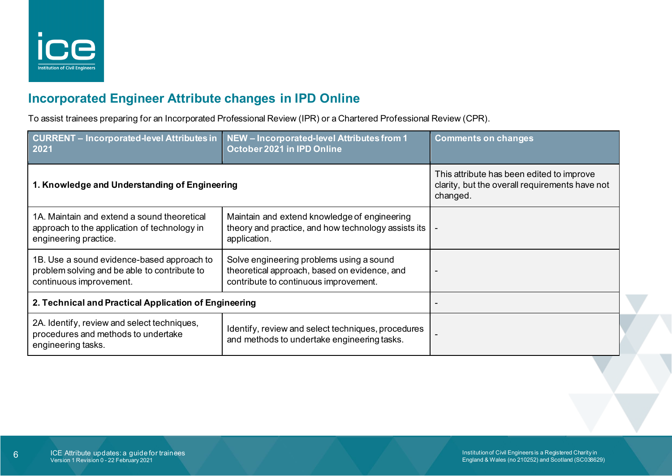

### <span id="page-5-0"></span>**Incorporated Engineer Attribute changes in IPD Online**

To assist trainees preparing for an Incorporated Professional Review (IPR) or a Chartered Professional Review (CPR).

| <b>CURRENT - Incorporated-level Attributes in</b><br>2021                                                             | NEW - Incorporated-level Attributes from 1<br>October 2021 in IPD Online                                                          | <b>Comments on changes</b>                                                                              |
|-----------------------------------------------------------------------------------------------------------------------|-----------------------------------------------------------------------------------------------------------------------------------|---------------------------------------------------------------------------------------------------------|
| 1. Knowledge and Understanding of Engineering                                                                         |                                                                                                                                   | This attribute has been edited to improve<br>clarity, but the overall requirements have not<br>changed. |
| 1A. Maintain and extend a sound theoretical<br>approach to the application of technology in<br>engineering practice.  | Maintain and extend knowledge of engineering<br>theory and practice, and how technology assists its<br>application.               | $\sim$                                                                                                  |
| 1B. Use a sound evidence-based approach to<br>problem solving and be able to contribute to<br>continuous improvement. | Solve engineering problems using a sound<br>theoretical approach, based on evidence, and<br>contribute to continuous improvement. | $\overline{\phantom{0}}$                                                                                |
| 2. Technical and Practical Application of Engineering                                                                 |                                                                                                                                   |                                                                                                         |
| 2A. Identify, review and select techniques,<br>procedures and methods to undertake<br>engineering tasks.              | Identify, review and select techniques, procedures<br>and methods to undertake engineering tasks.                                 |                                                                                                         |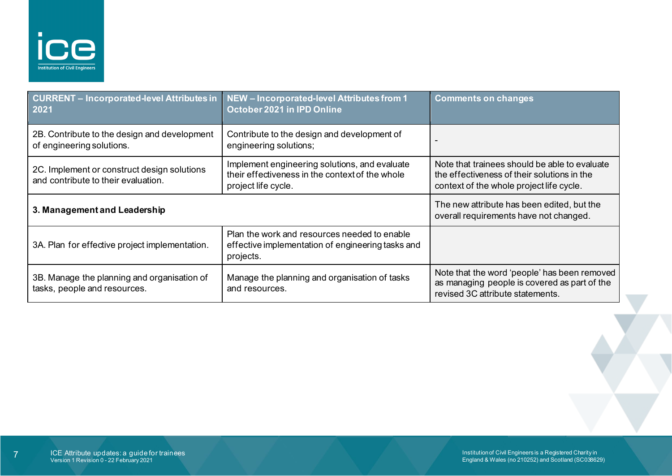

| <b>CURRENT - Incorporated-level Attributes in</b><br>2021                          | NEW - Incorporated-level Attributes from 1<br>October 2021 in IPD Online                                                | <b>Comments on changes</b>                                                                                                               |
|------------------------------------------------------------------------------------|-------------------------------------------------------------------------------------------------------------------------|------------------------------------------------------------------------------------------------------------------------------------------|
| 2B. Contribute to the design and development<br>of engineering solutions.          | Contribute to the design and development of<br>engineering solutions;                                                   |                                                                                                                                          |
| 2C. Implement or construct design solutions<br>and contribute to their evaluation. | Implement engineering solutions, and evaluate<br>their effectiveness in the context of the whole<br>project life cycle. | Note that trainees should be able to evaluate<br>the effectiveness of their solutions in the<br>context of the whole project life cycle. |
| 3. Management and Leadership                                                       |                                                                                                                         | The new attribute has been edited, but the<br>overall requirements have not changed.                                                     |
| 3A. Plan for effective project implementation.                                     | Plan the work and resources needed to enable<br>effective implementation of engineering tasks and<br>projects.          |                                                                                                                                          |
| 3B. Manage the planning and organisation of<br>tasks, people and resources.        | Manage the planning and organisation of tasks<br>and resources.                                                         | Note that the word 'people' has been removed<br>as managing people is covered as part of the<br>revised 3C attribute statements.         |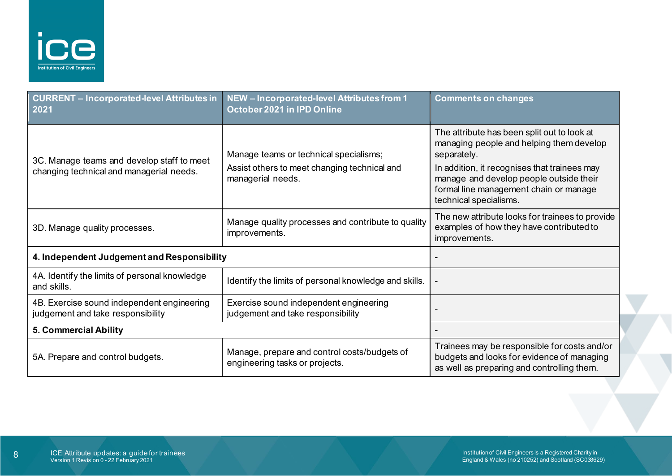

| <b>CURRENT - Incorporated-level Attributes in</b><br>2021                              | NEW - Incorporated-level Attributes from 1<br>October 2021 in IPD Online                                    | <b>Comments on changes</b>                                                                                                                                                                                                                                            |
|----------------------------------------------------------------------------------------|-------------------------------------------------------------------------------------------------------------|-----------------------------------------------------------------------------------------------------------------------------------------------------------------------------------------------------------------------------------------------------------------------|
| 3C. Manage teams and develop staff to meet<br>changing technical and managerial needs. | Manage teams or technical specialisms;<br>Assist others to meet changing technical and<br>managerial needs. | The attribute has been split out to look at<br>managing people and helping them develop<br>separately.<br>In addition, it recognises that trainees may<br>manage and develop people outside their<br>formal line management chain or manage<br>technical specialisms. |
| 3D. Manage quality processes.                                                          | Manage quality processes and contribute to quality<br>improvements.                                         | The new attribute looks for trainees to provide<br>examples of how they have contributed to<br>improvements.                                                                                                                                                          |
| 4. Independent Judgement and Responsibility                                            |                                                                                                             |                                                                                                                                                                                                                                                                       |
| 4A. Identify the limits of personal knowledge<br>and skills.                           | Identify the limits of personal knowledge and skills.                                                       |                                                                                                                                                                                                                                                                       |
| 4B. Exercise sound independent engineering<br>judgement and take responsibility        | Exercise sound independent engineering<br>judgement and take responsibility                                 |                                                                                                                                                                                                                                                                       |
| 5. Commercial Ability                                                                  |                                                                                                             |                                                                                                                                                                                                                                                                       |
| 5A. Prepare and control budgets.                                                       | Manage, prepare and control costs/budgets of<br>engineering tasks or projects.                              | Trainees may be responsible for costs and/or<br>budgets and looks for evidence of managing<br>as well as preparing and controlling them.                                                                                                                              |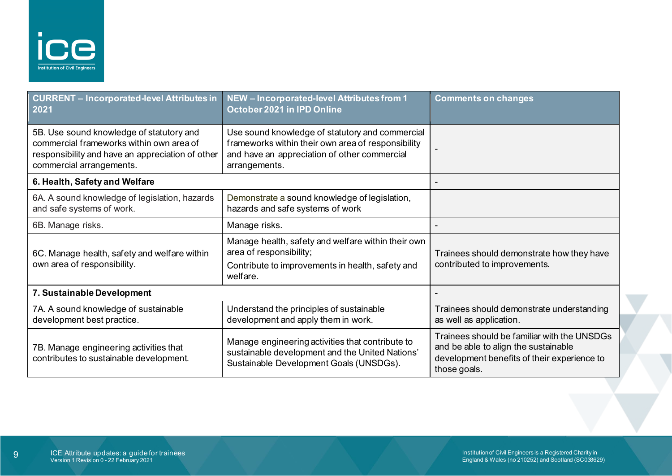

| <b>CURRENT - Incorporated-level Attributes in</b><br>2021                                                                                                            | NEW - Incorporated-level Attributes from 1<br>October 2021 in IPD Online                                                                                               | <b>Comments on changes</b>                                                                                                                         |
|----------------------------------------------------------------------------------------------------------------------------------------------------------------------|------------------------------------------------------------------------------------------------------------------------------------------------------------------------|----------------------------------------------------------------------------------------------------------------------------------------------------|
| 5B. Use sound knowledge of statutory and<br>commercial frameworks within own area of<br>responsibility and have an appreciation of other<br>commercial arrangements. | Use sound knowledge of statutory and commercial<br>frameworks within their own area of responsibility<br>and have an appreciation of other commercial<br>arrangements. |                                                                                                                                                    |
| 6. Health, Safety and Welfare                                                                                                                                        |                                                                                                                                                                        |                                                                                                                                                    |
| 6A. A sound knowledge of legislation, hazards<br>and safe systems of work.                                                                                           | Demonstrate a sound knowledge of legislation,<br>hazards and safe systems of work                                                                                      |                                                                                                                                                    |
| 6B. Manage risks.                                                                                                                                                    | Manage risks.                                                                                                                                                          |                                                                                                                                                    |
| 6C. Manage health, safety and welfare within<br>own area of responsibility.                                                                                          | Manage health, safety and welfare within their own<br>area of responsibility;<br>Contribute to improvements in health, safety and<br>welfare.                          | Trainees should demonstrate how they have<br>contributed to improvements.                                                                          |
| 7. Sustainable Development                                                                                                                                           |                                                                                                                                                                        |                                                                                                                                                    |
| 7A. A sound knowledge of sustainable<br>development best practice.                                                                                                   | Understand the principles of sustainable<br>development and apply them in work.                                                                                        | Trainees should demonstrate understanding<br>as well as application.                                                                               |
| 7B. Manage engineering activities that<br>contributes to sustainable development.                                                                                    | Manage engineering activities that contribute to<br>sustainable development and the United Nations'<br>Sustainable Development Goals (UNSDGs).                         | Trainees should be familiar with the UNSDGs<br>and be able to align the sustainable<br>development benefits of their experience to<br>those goals. |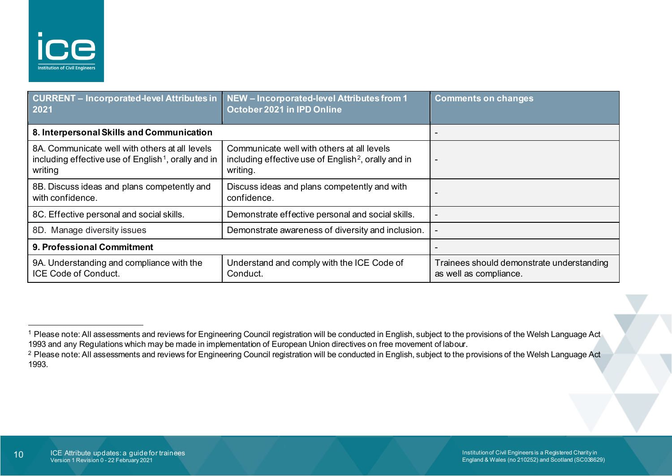<span id="page-9-1"></span><span id="page-9-0"></span>

| CURRENT - Incorporated-level Attributes in   NEW - Incorporated-level Attributes from 1<br>2021                              | October 2021 in IPD Online                                                                                                | <b>Comments on changes</b>                                          |
|------------------------------------------------------------------------------------------------------------------------------|---------------------------------------------------------------------------------------------------------------------------|---------------------------------------------------------------------|
| 8. Interpersonal Skills and Communication                                                                                    |                                                                                                                           |                                                                     |
| 8A. Communicate well with others at all levels<br>including effective use of English <sup>1</sup> , orally and in<br>writing | Communicate well with others at all levels<br>including effective use of English <sup>2</sup> , orally and in<br>writing. | $\overline{\phantom{0}}$                                            |
| 8B. Discuss ideas and plans competently and<br>with confidence.                                                              | Discuss ideas and plans competently and with<br>confidence.                                                               |                                                                     |
| 8C. Effective personal and social skills.                                                                                    | Demonstrate effective personal and social skills.                                                                         | -                                                                   |
| 8D. Manage diversity issues                                                                                                  | Demonstrate awareness of diversity and inclusion.                                                                         |                                                                     |
| 9. Professional Commitment                                                                                                   |                                                                                                                           |                                                                     |
| 9A. Understanding and compliance with the<br><b>ICE Code of Conduct.</b>                                                     | Understand and comply with the ICE Code of<br>Conduct.                                                                    | Trainees should demonstrate understanding<br>as well as compliance. |

<sup>&</sup>lt;sup>1</sup> Please note: All assessments and reviews for Engineering Council registration will be conducted in English, subject to the provisions of the Welsh Language Act 1993 and any Regulations which may be made in implementation of European Union directives on free movement of labour.

<sup>&</sup>lt;sup>2</sup> Please note: All assessments and reviews for Engineering Council registration will be conducted in English, subject to the provisions of the Welsh Language Act 1993.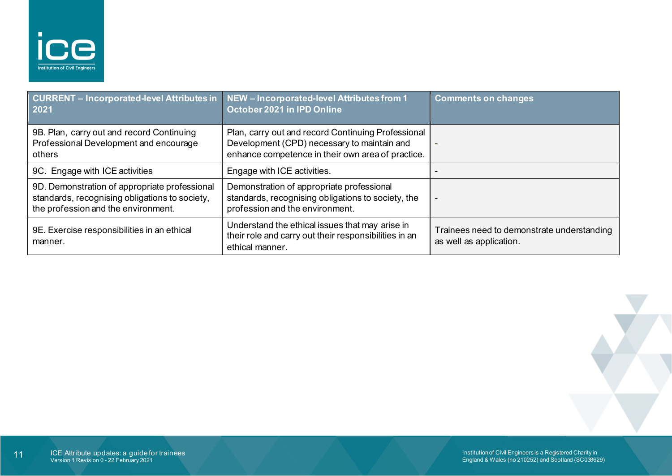

| CURRENT - Incorporated-level Attributes in<br>2021                                                                                     | NEW - Incorporated-level Attributes from 1<br>October 2021 in IPD Online                                                                               | <b>Comments on changes</b>                                            |
|----------------------------------------------------------------------------------------------------------------------------------------|--------------------------------------------------------------------------------------------------------------------------------------------------------|-----------------------------------------------------------------------|
| 9B. Plan, carry out and record Continuing<br>Professional Development and encourage<br>others                                          | Plan, carry out and record Continuing Professional<br>Development (CPD) necessary to maintain and<br>enhance competence in their own area of practice. |                                                                       |
| 9C. Engage with ICE activities                                                                                                         | Engage with ICE activities.                                                                                                                            |                                                                       |
| 9D. Demonstration of appropriate professional<br>standards, recognising obligations to society,<br>the profession and the environment. | Demonstration of appropriate professional<br>standards, recognising obligations to society, the<br>profession and the environment.                     |                                                                       |
| 9E. Exercise responsibilities in an ethical<br>manner.                                                                                 | Understand the ethical issues that may arise in<br>their role and carry out their responsibilities in an<br>ethical manner.                            | Trainees need to demonstrate understanding<br>as well as application. |

Institution of Civil Engineers is a Registered Charity in England & Wales (no 210252) and Scotland (SC038629)

 $\overline{\phantom{a}}$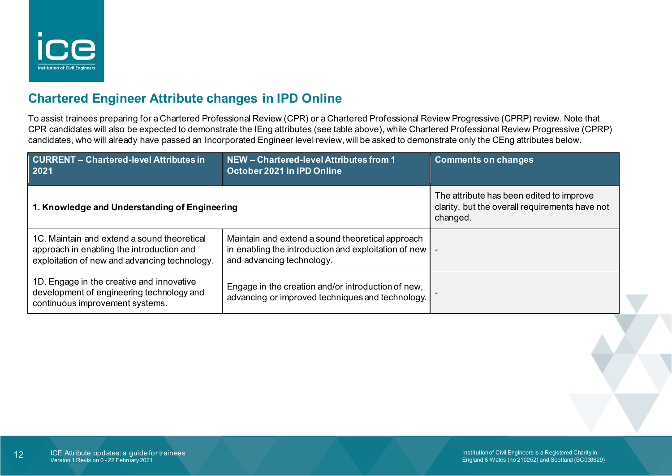

## <span id="page-11-0"></span>**Chartered Engineer Attribute changes in IPD Online**

To assist trainees preparing for a Chartered Professional Review (CPR) or a Chartered Professional Review Progressive (CPRP) review. Note that CPR candidates will also be expected to demonstrate the IEng attributes (see table above), while Chartered Professional Review Progressive (CPRP) candidates, who will already have passed an Incorporated Engineer level review, will be asked to demonstrate only the CEng attributes below.

| <b>CURRENT - Chartered-level Attributes in</b><br>2021                                                                                    | NEW - Chartered-level Attributes from 1<br>October 2021 in IPD Online                                                                   | <b>Comments on changes</b>                                                                             |  |
|-------------------------------------------------------------------------------------------------------------------------------------------|-----------------------------------------------------------------------------------------------------------------------------------------|--------------------------------------------------------------------------------------------------------|--|
| 1. Knowledge and Understanding of Engineering                                                                                             |                                                                                                                                         | The attribute has been edited to improve<br>clarity, but the overall requirements have not<br>changed. |  |
| 1C. Maintain and extend a sound theoretical<br>approach in enabling the introduction and<br>exploitation of new and advancing technology. | Maintain and extend a sound theoretical approach<br>in enabling the introduction and exploitation of new  <br>and advancing technology. |                                                                                                        |  |
| 1D. Engage in the creative and innovative<br>development of engineering technology and<br>continuous improvement systems.                 | Engage in the creation and/or introduction of new,<br>advancing or improved techniques and technology.                                  |                                                                                                        |  |
|                                                                                                                                           |                                                                                                                                         |                                                                                                        |  |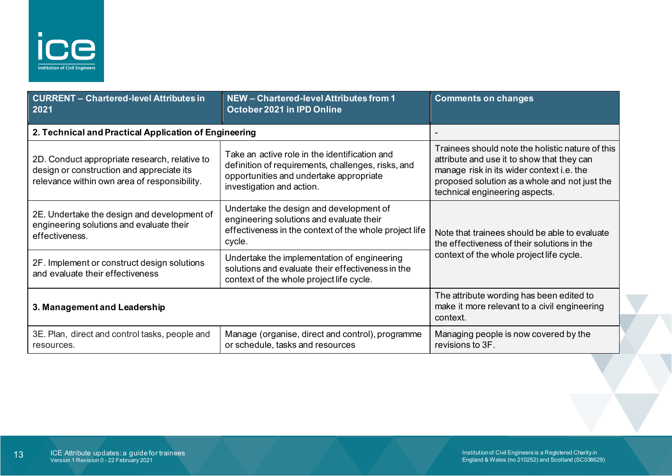

| <b>CURRENT - Chartered-level Attributes in</b><br>2021                                                                                     | NEW - Chartered-level Attributes from 1<br>October 2021 in IPD Online                                                                                                       | <b>Comments on changes</b>                                                                                                                                                                                                     |
|--------------------------------------------------------------------------------------------------------------------------------------------|-----------------------------------------------------------------------------------------------------------------------------------------------------------------------------|--------------------------------------------------------------------------------------------------------------------------------------------------------------------------------------------------------------------------------|
| 2. Technical and Practical Application of Engineering                                                                                      |                                                                                                                                                                             |                                                                                                                                                                                                                                |
| 2D. Conduct appropriate research, relative to<br>design or construction and appreciate its<br>relevance within own area of responsibility. | Take an active role in the identification and<br>definition of requirements, challenges, risks, and<br>opportunities and undertake appropriate<br>investigation and action. | Trainees should note the holistic nature of this<br>attribute and use it to show that they can<br>manage risk in its wider context i.e. the<br>proposed solution as a whole and not just the<br>technical engineering aspects. |
| 2E. Undertake the design and development of<br>engineering solutions and evaluate their<br>effectiveness.                                  | Undertake the design and development of<br>engineering solutions and evaluate their<br>effectiveness in the context of the whole project life<br>cycle.                     | Note that trainees should be able to evaluate<br>the effectiveness of their solutions in the<br>context of the whole project life cycle.                                                                                       |
| 2F. Implement or construct design solutions<br>and evaluate their effectiveness                                                            | Undertake the implementation of engineering<br>solutions and evaluate their effectiveness in the<br>context of the whole project life cycle.                                |                                                                                                                                                                                                                                |
| 3. Management and Leadership                                                                                                               |                                                                                                                                                                             | The attribute wording has been edited to<br>make it more relevant to a civil engineering<br>context.                                                                                                                           |
| 3E. Plan, direct and control tasks, people and<br>resources.                                                                               | Manage (organise, direct and control), programme<br>or schedule, tasks and resources                                                                                        | Managing people is now covered by the<br>revisions to 3F.                                                                                                                                                                      |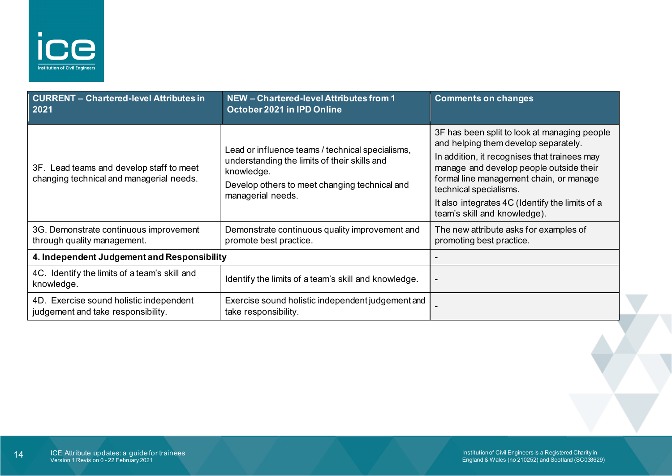

| <b>CURRENT - Chartered-level Attributes in</b><br>2021                               | NEW - Chartered-level Attributes from 1<br>October 2021 in IPD Online                                                                                                                | <b>Comments on changes</b>                                                                                                                                                                                                                                                                                                              |
|--------------------------------------------------------------------------------------|--------------------------------------------------------------------------------------------------------------------------------------------------------------------------------------|-----------------------------------------------------------------------------------------------------------------------------------------------------------------------------------------------------------------------------------------------------------------------------------------------------------------------------------------|
| 3F. Lead teams and develop staff to meet<br>changing technical and managerial needs. | Lead or influence teams / technical specialisms,<br>understanding the limits of their skills and<br>knowledge.<br>Develop others to meet changing technical and<br>managerial needs. | 3F has been split to look at managing people<br>and helping them develop separately.<br>In addition, it recognises that trainees may<br>manage and develop people outside their<br>formal line management chain, or manage<br>technical specialisms.<br>It also integrates 4C (Identify the limits of a<br>team's skill and knowledge). |
| 3G. Demonstrate continuous improvement<br>through quality management.                | Demonstrate continuous quality improvement and<br>promote best practice.                                                                                                             | The new attribute asks for examples of<br>promoting best practice.                                                                                                                                                                                                                                                                      |
| 4. Independent Judgement and Responsibility                                          |                                                                                                                                                                                      |                                                                                                                                                                                                                                                                                                                                         |
| 4C. Identify the limits of a team's skill and<br>knowledge.                          | Identify the limits of a team's skill and knowledge.                                                                                                                                 |                                                                                                                                                                                                                                                                                                                                         |
| 4D. Exercise sound holistic independent<br>judgement and take responsibility.        | Exercise sound holistic independent judgement and<br>take responsibility.                                                                                                            |                                                                                                                                                                                                                                                                                                                                         |
|                                                                                      |                                                                                                                                                                                      |                                                                                                                                                                                                                                                                                                                                         |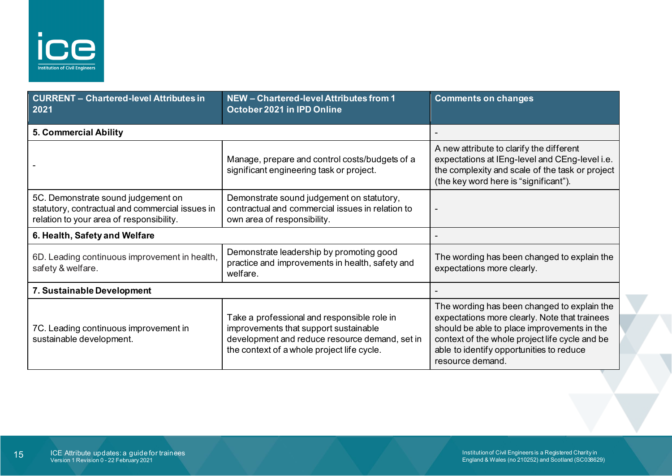

| <b>CURRENT - Chartered-level Attributes in</b><br>2021                                                                            | NEW - Chartered-level Attributes from 1<br>October 2021 in IPD Online                                                                                                                | <b>Comments on changes</b>                                                                                                                                                                                                                                    |
|-----------------------------------------------------------------------------------------------------------------------------------|--------------------------------------------------------------------------------------------------------------------------------------------------------------------------------------|---------------------------------------------------------------------------------------------------------------------------------------------------------------------------------------------------------------------------------------------------------------|
| 5. Commercial Ability                                                                                                             |                                                                                                                                                                                      |                                                                                                                                                                                                                                                               |
|                                                                                                                                   | Manage, prepare and control costs/budgets of a<br>significant engineering task or project.                                                                                           | A new attribute to clarify the different<br>expectations at IEng-level and CEng-level i.e.<br>the complexity and scale of the task or project<br>(the key word here is "significant").                                                                        |
| 5C. Demonstrate sound judgement on<br>statutory, contractual and commercial issues in<br>relation to your area of responsibility. | Demonstrate sound judgement on statutory,<br>contractual and commercial issues in relation to<br>own area of responsibility.                                                         |                                                                                                                                                                                                                                                               |
| 6. Health, Safety and Welfare                                                                                                     |                                                                                                                                                                                      |                                                                                                                                                                                                                                                               |
| 6D. Leading continuous improvement in health,<br>safety & welfare.                                                                | Demonstrate leadership by promoting good<br>practice and improvements in health, safety and<br>welfare.                                                                              | The wording has been changed to explain the<br>expectations more clearly.                                                                                                                                                                                     |
| 7. Sustainable Development                                                                                                        |                                                                                                                                                                                      |                                                                                                                                                                                                                                                               |
| 7C. Leading continuous improvement in<br>sustainable development.                                                                 | Take a professional and responsible role in<br>improvements that support sustainable<br>development and reduce resource demand, set in<br>the context of a whole project life cycle. | The wording has been changed to explain the<br>expectations more clearly. Note that trainees<br>should be able to place improvements in the<br>context of the whole project life cycle and be<br>able to identify opportunities to reduce<br>resource demand. |